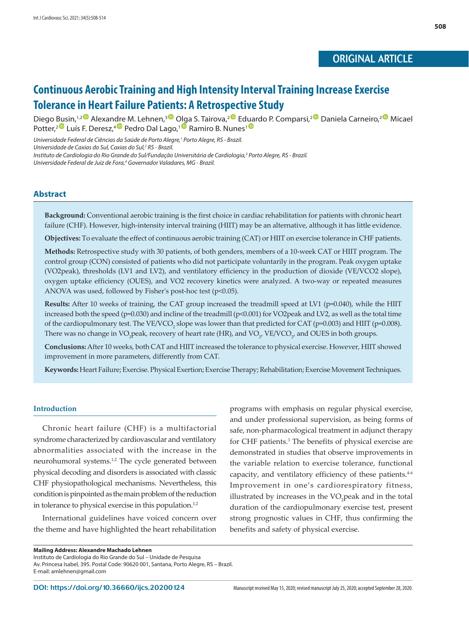# ORIGINAL ARTICLE

# **Continuous Aerobic Training and High Intensity Interval Training Increase Exercise Tolerance in Heart Failure Patients: A Retrospective Study**

Diego Busin,<sup>1,2</sup> Alexandre M. Lehnen,<sup>3 O</sup> Olga S. Tairova,<sup>[2](https://orcid.org/0000-0003-3831-9319) O</sup> E[duar](https://orcid.org/0000-0003-3985-5965)do P. Comparsi,<sup>2 O</sup> Daniela Carneiro,<sup>2 O</sup> Micael Potter,<sup>[2](https://orcid.org/0000-0002-5152-8994) D</sup> Luís F. Deresz,<sup>[4](https://orcid.org/0000-0003-3687-3607) D</sup> Pedro Dal Lago,<sup>[1](http://orcid.org/0000-0001-9907-7689) D</sup> Ramiro B. Nunes<sup>1</sup>

*Universidade Federal de Ciências da Saúde de Porto Alegre,1 Porto Alegre, RS - Brazil.*

*Universidade de Caxias do Sul, Caxias do Sul,2 RS - Brazil.*

*Instituto de Cardiologia do Rio Grande do Sul/Fundação Universitária de Cardiologia,3 Porto Alegre, RS - Brazil.* Universidade Federal de Juiz de Fora,<sup>4</sup> Governador Valadares, MG - Brazil.

## **Abstract**

**Background:** Conventional aerobic training is the first choice in cardiac rehabilitation for patients with chronic heart failure (CHF). However, high-intensity interval training (HIIT) may be an alternative, although it has little evidence.

**Objectives:** To evaluate the effect of continuous aerobic training (CAT) or HIIT on exercise tolerance in CHF patients.

**Methods:** Retrospective study with 30 patients, of both genders, members of a 10-week CAT or HIIT program. The control group (CON) consisted of patients who did not participate voluntarily in the program. Peak oxygen uptake (VO2peak), thresholds (LV1 and LV2), and ventilatory efficiency in the production of dioxide (VE/VCO2 slope), oxygen uptake efficiency (OUES), and VO2 recovery kinetics were analyzed. A two-way or repeated measures ANOVA was used, followed by Fisher's post-hoc test (p<0.05).

**Results:** After 10 weeks of training, the CAT group increased the treadmill speed at LV1 (p=0.040), while the HIIT increased both the speed (p=0.030) and incline of the treadmill (p<0.001) for VO2peak and LV2, as well as the total time of the cardiopulmonary test. The VE/VCO<sub>2</sub> slope was lower than that predicted for CAT (p=0.003) and HIIT (p=0.008). There was no change in VO<sub>2</sub>peak, recovery of heart rate (HR), and VO<sub>2</sub>, VE/VCO<sub>2</sub>, and OUES in both groups.

**Conclusions:** After 10 weeks, both CAT and HIIT increased the tolerance to physical exercise. However, HIIT showed improvement in more parameters, differently from CAT.

**Keywords:** Heart Failure; Exercise. Physical Exertion; Exercise Therapy; Rehabilitation; Exercise Movement Techniques.

#### **Introduction**

Chronic heart failure (CHF) is a multifactorial syndrome characterized by cardiovascular and ventilatory abnormalities associated with the increase in the neurohumoral systems.1,2 The cycle generated between physical decoding and disorders is associated with classic CHF physiopathological mechanisms. Nevertheless, this condition is pinpointed as the main problem of the reduction in tolerance to physical exercise in this population.<sup>1,2</sup>

International guidelines have voiced concern over the theme and have highlighted the heart rehabilitation programs with emphasis on regular physical exercise, and under professional supervision, as being forms of safe, non-pharmacological treatment in adjunct therapy for CHF patients.3 The benefits of physical exercise are demonstrated in studies that observe improvements in the variable relation to exercise tolerance, functional capacity, and ventilatory efficiency of these patients.4-6 Improvement in one's cardiorespiratory fitness, illustrated by increases in the  $VO<sub>2</sub>$  peak and in the total duration of the cardiopulmonary exercise test, present strong prognostic values in CHF, thus confirming the benefits and safety of physical exercise.

**Mailing Address: Alexandre Machado Lehnen** Instituto de Cardiologia do Rio Grande do Sul – Unidade de Pesquisa Av. Princesa Isabel, 395. Postal Code: 90620 001, Santana, Porto Alegre, RS – Brazil. E-mail: [amlehnen@gmail.com](mailto:amlehnen@gmail.com)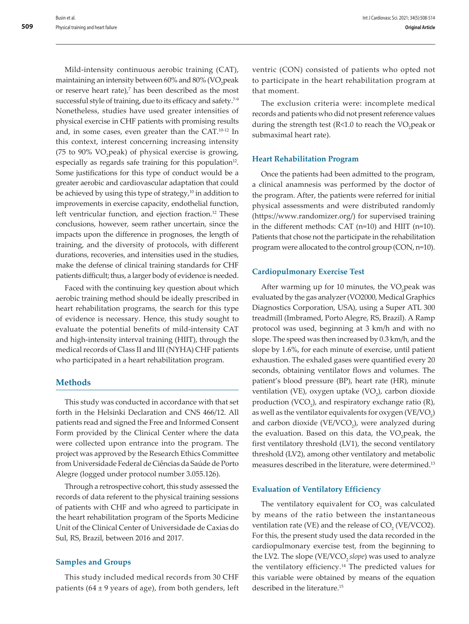Mild-intensity continuous aerobic training (CAT), maintaining an intensity between 60% and 80% (VO<sub>2</sub>peak or reserve heart rate), $7$  has been described as the most successful style of training, due to its efficacy and safety.<sup>7-9</sup> Nonetheless, studies have used greater intensities of physical exercise in CHF patients with promising results and, in some cases, even greater than the CAT.10-12 In this context, interest concerning increasing intensity (75 to 90%  $VO<sub>2</sub>peak$ ) of physical exercise is growing, especially as regards safe training for this population<sup>12</sup>. Some justifications for this type of conduct would be a greater aerobic and cardiovascular adaptation that could be achieved by using this type of strategy,<sup>10</sup> in addition to improvements in exercise capacity, endothelial function, left ventricular function, and ejection fraction.<sup>12</sup> These conclusions, however, seem rather uncertain, since the impacts upon the difference in prognoses, the length of training, and the diversity of protocols, with different durations, recoveries, and intensities used in the studies, make the defense of clinical training standards for CHF patients difficult; thus, a larger body of evidence is needed.

Faced with the continuing key question about which aerobic training method should be ideally prescribed in heart rehabilitation programs, the search for this type of evidence is necessary. Hence, this study sought to evaluate the potential benefits of mild-intensity CAT and high-intensity interval training (HIIT), through the medical records of Class II and III (NYHA) CHF patients who participated in a heart rehabilitation program.

# **Methods**

This study was conducted in accordance with that set forth in the Helsinki Declaration and CNS 466/12. All patients read and signed the Free and Informed Consent Form provided by the Clinical Center where the data were collected upon entrance into the program. The project was approved by the Research Ethics Committee from Universidade Federal de Ciências da Saúde de Porto Alegre (logged under protocol number 3.055.126).

Through a retrospective cohort, this study assessed the records of data referent to the physical training sessions of patients with CHF and who agreed to participate in the heart rehabilitation program of the Sports Medicine Unit of the Clinical Center of Universidade de Caxias do Sul, RS, Brazil, between 2016 and 2017.

## **Samples and Groups**

This study included medical records from 30 CHF patients ( $64 \pm 9$  years of age), from both genders, left ventric (CON) consisted of patients who opted not to participate in the heart rehabilitation program at that moment.

The exclusion criteria were: incomplete medical records and patients who did not present reference values during the strength test ( $R<1.0$  to reach the  $VO<sub>2</sub>$  peak or submaximal heart rate).

## **Heart Rehabilitation Program**

Once the patients had been admitted to the program, a clinical anamnesis was performed by the doctor of the program. After, the patients were referred for initial physical assessments and were distributed randomly (https://www.randomizer.org/) for supervised training in the different methods: CAT (n=10) and HIIT (n=10). Patients that chose not the participate in the rehabilitation program were allocated to the control group (CON, n=10).

#### **Cardiopulmonary Exercise Test**

After warming up for 10 minutes, the  $VO_2$  peak was evaluated by the gas analyzer (VO2000, Medical Graphics Diagnostics Corporation, USA), using a Super ATL 300 treadmill (Imbramed, Porto Alegre, RS, Brazil). A Ramp protocol was used, beginning at 3 km/h and with no slope. The speed was then increased by 0.3 km/h, and the slope by 1.6%, for each minute of exercise, until patient exhaustion. The exhaled gases were quantified every 20 seconds, obtaining ventilator flows and volumes. The patient's blood pressure (BP), heart rate (HR), minute ventilation (VE), oxygen uptake  $(VO<sub>2</sub>)$ , carbon dioxide production (VCO<sub>2</sub>), and respiratory exchange ratio (R), as well as the ventilator equivalents for oxygen (VE/VO<sub>2</sub>) and carbon dioxide ( $VE/VCO<sub>2</sub>$ ), were analyzed during the evaluation. Based on this data, the VO<sub>2</sub>peak, the first ventilatory threshold (LV1), the second ventilatory threshold (LV2), among other ventilatory and metabolic measures described in the literature, were determined.<sup>13</sup>

#### **Evaluation of Ventilatory Efficiency**

The ventilatory equivalent for  $CO<sub>2</sub>$  was calculated by means of the ratio between the instantaneous ventilation rate (VE) and the release of  $CO<sub>2</sub>$  (VE/VCO2). For this, the present study used the data recorded in the cardiopulmonary exercise test, from the beginning to the LV2. The slope (VE/VCO<sub>2</sub> *slope*) was used to analyze the ventilatory efficiency.14 The predicted values for this variable were obtained by means of the equation described in the literature.<sup>15</sup>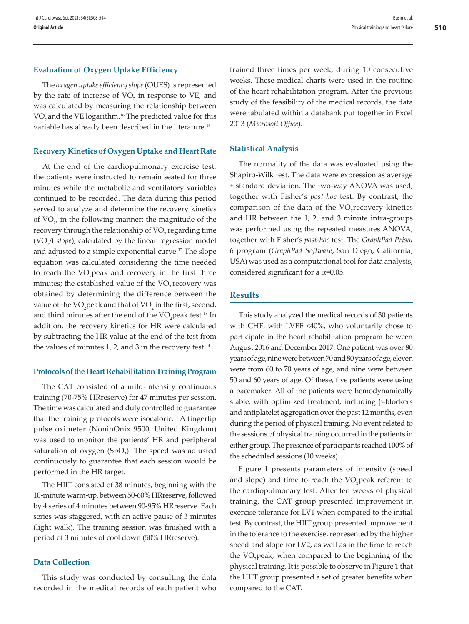#### **Evaluation of Oxygen Uptake Efficiency**

The *oxygen uptake efficiency slope* (OUES) is represented by the rate of increase of  $VO<sub>2</sub>$  in response to VE, and was calculated by measuring the relationship between VO<sub>2</sub> and the VE logarithm.<sup>16</sup> The predicted value for this variable has already been described in the literature.<sup>16</sup>

#### **Recovery Kinetics of Oxygen Uptake and Heart Rate**

At the end of the cardiopulmonary exercise test, the patients were instructed to remain seated for three minutes while the metabolic and ventilatory variables continued to be recorded. The data during this period served to analyze and determine the recovery kinetics of  $\text{VO}_{2'}$  in the following manner: the magnitude of the recovery through the relationship of  $\rm VO_{2}$  regarding time (VO<sub>2</sub>/t *slope*), calculated by the linear regression model and adjusted to a simple exponential curve.<sup>17</sup> The slope equation was calculated considering the time needed to reach the VO<sub>2</sub>peak and recovery in the first three minutes; the established value of the VO<sub>2</sub> recovery was obtained by determining the difference between the value of the VO<sub>2</sub> peak and that of VO<sub>2</sub> in the first, second, and third minutes after the end of the  $\rm VO_2$ peak test.<sup>18</sup> In addition, the recovery kinetics for HR were calculated by subtracting the HR value at the end of the test from the values of minutes 1, 2, and 3 in the recovery test. $14$ 

#### **Protocols of the Heart Rehabilitation Training Program**

The CAT consisted of a mild-intensity continuous training (70-75% HRreserve) for 47 minutes per session. The time was calculated and duly controlled to guarantee that the training protocols were isocaloric.<sup>12</sup> A fingertip pulse oximeter (NoninOnix 9500, United Kingdom) was used to monitor the patients' HR and peripheral saturation of oxygen (SpO<sub>2</sub>). The speed was adjusted continuously to guarantee that each session would be performed in the HR target.

The HIIT consisted of 38 minutes, beginning with the 10-minute warm-up, between 50-60% HRreserve, followed by 4 series of 4 minutes between 90-95% HRreserve. Each series was staggered, with an active pause of 3 minutes (light walk). The training session was finished with a period of 3 minutes of cool down (50% HRreserve).

## **Data Collection**

This study was conducted by consulting the data recorded in the medical records of each patient who trained three times per week, during 10 consecutive weeks. These medical charts were used in the routine of the heart rehabilitation program. After the previous study of the feasibility of the medical records, the data were tabulated within a databank put together in Excel 2013 (*Microsoft Office*).

#### **Statistical Analysis**

The normality of the data was evaluated using the Shapiro-Wilk test. The data were expression as average ± standard deviation. The two-way ANOVA was used, together with Fisher's *post-hoc* test. By contrast, the comparison of the data of the  $VO<sub>2</sub>$  recovery kinetics and HR between the 1, 2, and 3 minute intra-groups was performed using the repeated measures ANOVA, together with Fisher's *post-hoc* test. The *GraphPad Prism* 6 program (*GraphPad Software*, San Diego, California, USA) was used as a computational tool for data analysis, considered significant for a  $\alpha$ =0.05.

## **Results**

This study analyzed the medical records of 30 patients with CHF, with LVEF <40%, who voluntarily chose to participate in the heart rehabilitation program between August 2016 and December 2017. One patient was over 80 years of age, nine were between 70 and 80 years of age, eleven were from 60 to 70 years of age, and nine were between 50 and 60 years of age. Of these, five patients were using a pacemaker. All of the patients were hemodynamically stable, with optimized treatment, including β-blockers and antiplatelet aggregation over the past 12 months, even during the period of physical training. No event related to the sessions of physical training occurred in the patients in either group. The presence of participants reached 100% of the scheduled sessions (10 weeks).

Figure 1 presents parameters of intensity (speed and slope) and time to reach the  $VO<sub>2</sub>$  peak referent to the cardiopulmonary test. After ten weeks of physical training, the CAT group presented improvement in exercise tolerance for LV1 when compared to the initial test. By contrast, the HIIT group presented improvement in the tolerance to the exercise, represented by the higher speed and slope for LV2, as well as in the time to reach the VO<sub>2</sub>peak, when compared to the beginning of the physical training. It is possible to observe in Figure 1 that the HIIT group presented a set of greater benefits when compared to the CAT.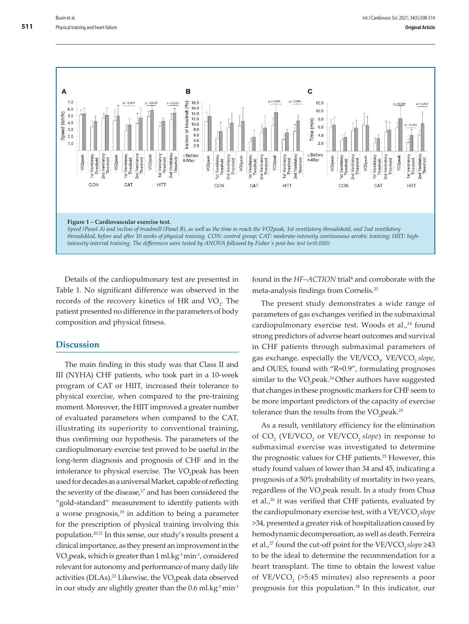

Details of the cardiopulmonary test are presented in Table 1. No significant difference was observed in the records of the recovery kinetics of HR and  $VO<sub>2</sub>$ . The patient presented no difference in the parameters of body composition and physical fitness.

# **Discussion**

The main finding in this study was that Class II and III (NYHA) CHF patients, who took part in a 10-week program of CAT or HIIT, increased their tolerance to physical exercise, when compared to the pre-training moment. Moreover, the HIIT improved a greater number of evaluated parameters when compared to the CAT, illustrating its superiority to conventional training, thus confirming our hypothesis. The parameters of the cardiopulmonary exercise test proved to be useful in the long-term diagnosis and prognosis of CHF and in the intolerance to physical exercise. The VO<sub>2</sub>peak has been used for decades as a universal Market, capable of reflecting the severity of the disease,<sup>17</sup> and has been considered the "gold-standard" measurement to identify patients with a worse prognosis, $19$  in addition to being a parameter for the prescription of physical training involving this population.20,21 In this sense, our study's results present a clinical importance, as they present an improvement in the VO2 peak, which is greater than 1 ml.kg-1.min-1, considered relevant for autonomy and performance of many daily life activities (DLAs).<sup>22</sup> Likewise, the VO<sub>2</sub> peak data observed in our study are slightly greater than the  $0.6$  ml.kg<sup>-1</sup>min<sup>-1</sup>

found in the *HF-ACTION* trial<sup>8</sup> and corroborate with the meta-analysis findings from Cornelis.23

The present study demonstrates a wide range of parameters of gas exchanges verified in the submaximal cardiopulmonary exercise test. Woods et al.,<sup>24</sup> found strong predictors of adverse heart outcomes and survival in CHF patients through submaximal parameters of gas exchange, especially the VE/VCO<sub>2</sub>, VE/VCO<sub>2</sub> slope, and OUES, found with "R=0.9", formulating prognoses similar to the VO<sub>2</sub>peak.<sup>24</sup> Other authors have suggested that changes in these prognostic markers for CHF seem to be more important predictors of the capacity of exercise tolerance than the results from the  $VO<sub>2</sub>peak.<sup>25</sup>$ 

As a result, ventilatory efficiency for the elimination of CO<sub>2</sub> (VE/VCO<sub>2</sub> or VE/VCO<sub>2</sub> *slope*) in response to submaximal exercise was investigated to determine the prognostic values for CHF patients.25 However, this study found values of lower than 34 and 45, indicating a prognosis of a 50% probability of mortality in two years, regardless of the VO<sub>2</sub>peak result. In a study from Chua et al.,<sup>26</sup> it was verified that CHF patients, evaluated by the cardiopulmonary exercise test, with a VE/VCO<sub>2</sub> slope >34, presented a greater risk of hospitalization caused by hemodynamic decompensation, as well as death. Ferreira et al.,<sup>27</sup> found the cut-off point for the VE/VCO<sub>2</sub> *slope* ≥43 to be the ideal to determine the recommendation for a heart transplant. The time to obtain the lowest value of VE/VCO<sub>2</sub> (>5:45 minutes) also represents a poor prognosis for this population.28 In this indicator, our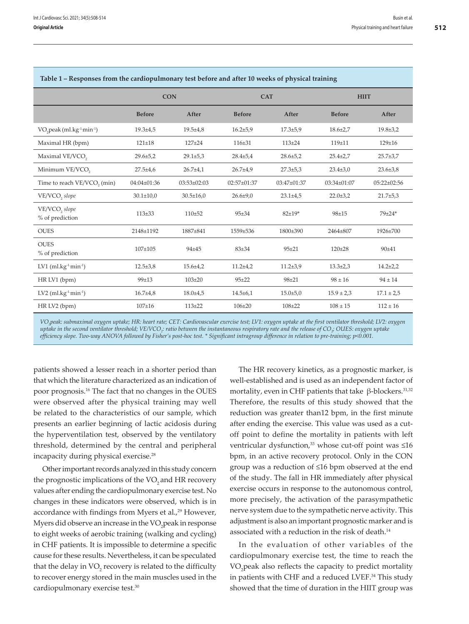| Table 1 – Responses from the cardiopulmonary test before and after to weeks of physical training |                 |                 |                |                |                |                   |
|--------------------------------------------------------------------------------------------------|-----------------|-----------------|----------------|----------------|----------------|-------------------|
|                                                                                                  | <b>CON</b>      |                 | <b>CAT</b>     |                | <b>HIIT</b>    |                   |
|                                                                                                  | <b>Before</b>   | After           | <b>Before</b>  | After          | <b>Before</b>  | After             |
| VO <sub>2</sub> peak (ml.kg <sup>-1</sup> min <sup>-1</sup> )                                    | $19.3 \pm 4.5$  | $19.5 \pm 4.8$  | $16.2{\pm}5.9$ | $17.3 \pm 5.9$ | $18.6 \pm 2.7$ | $19.8 \pm 3.2$    |
| Maximal HR (bpm)                                                                                 | $121 \pm 18$    | $127 + 24$      | $116 \pm 31$   | $113 + 24$     | 119±11         | $129 \pm 16$      |
| Maximal VE/VCO,                                                                                  | $29.6 \pm 5.2$  | $29.1 \pm 5.3$  | $28.4 \pm 5.4$ | $28.6 \pm 5.2$ | $25.4 \pm 2.7$ | $25.7 \pm 3.7$    |
| Minimum VE/VCO,                                                                                  | $27.5 \pm 4.6$  | $26.7 \pm 4.1$  | $26.7 + 4.9$   | $27.3 \pm 5.3$ | $23.4 \pm 3.0$ | $23.6 \pm 3.8$    |
| Time to reach VE/VCO <sub>2</sub> (min)                                                          | $04:04\pm01:36$ | $03:53\pm02:03$ | 02:57±01:37    | 03:47±01:37    | 03:34±01:07    | $05:22 \pm 02:56$ |
| VE/VCO <sub>2</sub> slope                                                                        | $30.1 \pm 10.0$ | $30.5 \pm 16.0$ | $26.6 \pm 9.0$ | $23.1 \pm 4.5$ | $22.0 \pm 3.2$ | $21.7+5,3$        |
| VE/VCO <sub>2</sub> slope<br>% of prediction                                                     | $113 + 33$      | $110 + 52$      | $95 + 34$      | $82 + 19*$     | 98±15          | 79±24*            |
| <b>OUES</b>                                                                                      | 2148±1192       | 1887±841        | 1559±536       | 1800±390       | 2464±807       | 1926±700          |
| <b>OUES</b><br>% of prediction                                                                   | $107 \pm 105$   | 94±45           | $83 + 34$      | $95 + 21$      | $120 \pm 28$   | $90 + 41$         |
| $LV1$ (ml.kg <sup>-1</sup> min <sup>-1</sup> )                                                   | $12.5 \pm 3.8$  | $15.6 \pm 4.2$  | $11.2 + 4.2$   | $11.2 \pm 3.9$ | $13.3 \pm 2.3$ | $14.2 + 2.2$      |
| HR LV1 (bpm)                                                                                     | 99±13           | $103 + 20$      | $95 + 22$      | $98 + 21$      | $98 \pm 16$    | $94 \pm 14$       |
| $LV2$ (ml.kg <sup>-1</sup> min <sup>-1</sup> )                                                   | $16.7{\pm}4.8$  | $18.0 \pm 4.5$  | $14.5 \pm 6.1$ | $15.0 \pm 5.0$ | $15.9 \pm 2.3$ | $17.1 \pm 2.5$    |
| HR LV2 (bpm)                                                                                     | $107 + 16$      | $113 + 22$      | $106 + 20$     | $108 + 22$     | $108 \pm 15$   | $112 \pm 16$      |

#### **Table 1 – Responses from the cardiopulmonary test before and after 10 weeks of physical training**

*VO2 peak: submaximal oxygen uptake; HR: heart rate; CET: Cardiovascular exercise test; LV1: oxygen uptake at the first ventilator threshold; LV2: oxygen uptake in the second ventilator threshold; VE/VCO2 : ratio between the instantaneous respiratory rate and the release of CO2 ; OUES: oxygen uptake efficiency slope. Two-way ANOVA followed by Fisher's post-hoc test. \* Significant intragroup difference in relation to pre-training; p<0.001.*

patients showed a lesser reach in a shorter period than that which the literature characterized as an indication of poor prognosis.16 The fact that no changes in the OUES were observed after the physical training may well be related to the characteristics of our sample, which presents an earlier beginning of lactic acidosis during the hyperventilation test, observed by the ventilatory threshold, determined by the central and peripheral incapacity during physical exercise.<sup>28</sup>

Other important records analyzed in this study concern the prognostic implications of the VO<sub>2</sub> and HR recovery values after ending the cardiopulmonary exercise test. No changes in these indicators were observed, which is in accordance with findings from Myers et al.,<sup>29</sup> However, Myers did observe an increase in the VO<sub>2</sub> peak in response to eight weeks of aerobic training (walking and cycling) in CHF patients. It is impossible to determine a specific cause for these results. Nevertheless, it can be speculated that the delay in  $\rm VO_{2}$  recovery is related to the difficulty to recover energy stored in the main muscles used in the cardiopulmonary exercise test.30

The HR recovery kinetics, as a prognostic marker, is well-established and is used as an independent factor of mortality, even in CHF patients that take  $\beta$ -blockers.<sup>31,32</sup> Therefore, the results of this study showed that the reduction was greater than12 bpm, in the first minute after ending the exercise. This value was used as a cutoff point to define the mortality in patients with left ventricular dysfunction,<sup>33</sup> whose cut-off point was ≤16 bpm, in an active recovery protocol. Only in the CON group was a reduction of ≤16 bpm observed at the end of the study. The fall in HR immediately after physical exercise occurs in response to the autonomous control, more precisely, the activation of the parasympathetic nerve system due to the sympathetic nerve activity. This adjustment is also an important prognostic marker and is associated with a reduction in the risk of death.<sup>14</sup>

In the evaluation of other variables of the cardiopulmonary exercise test, the time to reach the VO<sub>2</sub> peak also reflects the capacity to predict mortality in patients with CHF and a reduced LVEF.34 This study showed that the time of duration in the HIIT group was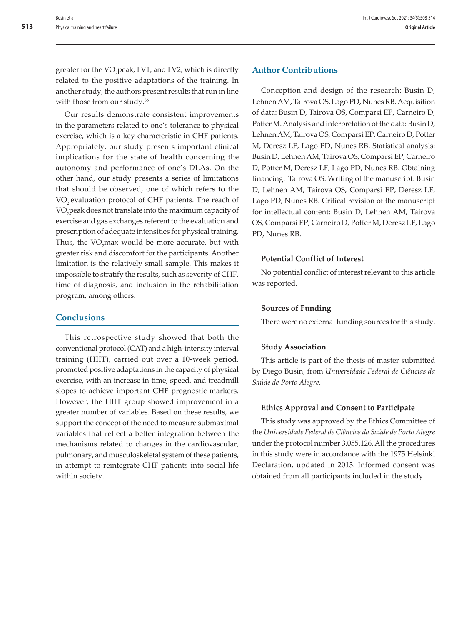greater for the VO<sub>2</sub>peak, LV1, and LV2, which is directly related to the positive adaptations of the training. In another study, the authors present results that run in line with those from our study.<sup>35</sup>

Our results demonstrate consistent improvements in the parameters related to one's tolerance to physical exercise, which is a key characteristic in CHF patients. Appropriately, our study presents important clinical implications for the state of health concerning the autonomy and performance of one's DLAs. On the other hand, our study presents a series of limitations that should be observed, one of which refers to the VO<sub>2</sub> evaluation protocol of CHF patients. The reach of VO2 peak does not translate into the maximum capacity of exercise and gas exchanges referent to the evaluation and prescription of adequate intensities for physical training. Thus, the  $\rm VO_{2}$ max would be more accurate, but with greater risk and discomfort for the participants. Another limitation is the relatively small sample. This makes it impossible to stratify the results, such as severity of CHF, time of diagnosis, and inclusion in the rehabilitation program, among others.

# **Conclusions**

This retrospective study showed that both the conventional protocol (CAT) and a high-intensity interval training (HIIT), carried out over a 10-week period, promoted positive adaptations in the capacity of physical exercise, with an increase in time, speed, and treadmill slopes to achieve important CHF prognostic markers. However, the HIIT group showed improvement in a greater number of variables. Based on these results, we support the concept of the need to measure submaximal variables that reflect a better integration between the mechanisms related to changes in the cardiovascular, pulmonary, and musculoskeletal system of these patients, in attempt to reintegrate CHF patients into social life within society.

# **Author Contributions**

Conception and design of the research: Busin D, Lehnen AM, Tairova OS, Lago PD, Nunes RB. Acquisition of data: Busin D, Tairova OS, Comparsi EP, Carneiro D, Potter M. Analysis and interpretation of the data: Busin D, Lehnen AM, Tairova OS, Comparsi EP, Carneiro D, Potter M, Deresz LF, Lago PD, Nunes RB. Statistical analysis: Busin D, Lehnen AM, Tairova OS, Comparsi EP, Carneiro D, Potter M, Deresz LF, Lago PD, Nunes RB. Obtaining financing: Tairova OS. Writing of the manuscript: Busin D, Lehnen AM, Tairova OS, Comparsi EP, Deresz LF, Lago PD, Nunes RB. Critical revision of the manuscript for intellectual content: Busin D, Lehnen AM, Tairova OS, Comparsi EP, Carneiro D, Potter M, Deresz LF, Lago PD, Nunes RB.

# **Potential Conflict of Interest**

No potential conflict of interest relevant to this article was reported.

# **Sources of Funding**

There were no external funding sources for this study.

# **Study Association**

This article is part of the thesis of master submitted by Diego Busin, from *Universidade Federal de Ciências da Saúde de Porto Alegre*.

# **Ethics Approval and Consent to Participate**

This study was approved by the Ethics Committee of the *Universidade Federal de Ciências da Saúde de Porto Alegre* under the protocol number 3.055.126. All the procedures in this study were in accordance with the 1975 Helsinki Declaration, updated in 2013. Informed consent was obtained from all participants included in the study.